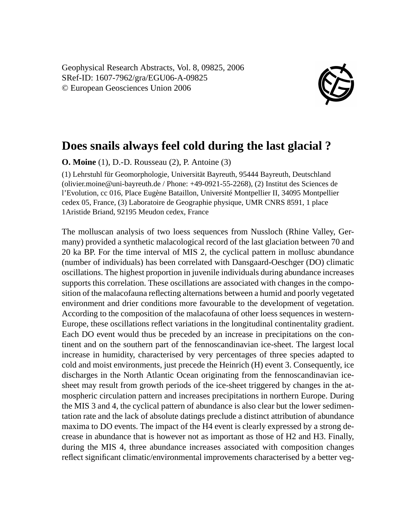Geophysical Research Abstracts, Vol. 8, 09825, 2006 SRef-ID: 1607-7962/gra/EGU06-A-09825 © European Geosciences Union 2006



## **Does snails always feel cold during the last glacial ?**

**O. Moine** (1), D.-D. Rousseau (2), P. Antoine (3)

(1) Lehrstuhl für Geomorphologie, Universität Bayreuth, 95444 Bayreuth, Deutschland (olivier.moine@uni-bayreuth.de / Phone: +49-0921-55-2268), (2) Institut des Sciences de l'Evolution, cc 016, Place Eugène Bataillon, Université Montpellier II, 34095 Montpellier cedex 05, France, (3) Laboratoire de Geographie physique, UMR CNRS 8591, 1 place 1Aristide Briand, 92195 Meudon cedex, France

The molluscan analysis of two loess sequences from Nussloch (Rhine Valley, Germany) provided a synthetic malacological record of the last glaciation between 70 and 20 ka BP. For the time interval of MIS 2, the cyclical pattern in mollusc abundance (number of individuals) has been correlated with Dansgaard-Oeschger (DO) climatic oscillations. The highest proportion in juvenile individuals during abundance increases supports this correlation. These oscillations are associated with changes in the composition of the malacofauna reflecting alternations between a humid and poorly vegetated environment and drier conditions more favourable to the development of vegetation. According to the composition of the malacofauna of other loess sequences in western-Europe, these oscillations reflect variations in the longitudinal continentality gradient. Each DO event would thus be preceded by an increase in precipitations on the continent and on the southern part of the fennoscandinavian ice-sheet. The largest local increase in humidity, characterised by very percentages of three species adapted to cold and moist environments, just precede the Heinrich (H) event 3. Consequently, ice discharges in the North Atlantic Ocean originating from the fennoscandinavian icesheet may result from growth periods of the ice-sheet triggered by changes in the atmospheric circulation pattern and increases precipitations in northern Europe. During the MIS 3 and 4, the cyclical pattern of abundance is also clear but the lower sedimentation rate and the lack of absolute datings preclude a distinct attribution of abundance maxima to DO events. The impact of the H4 event is clearly expressed by a strong decrease in abundance that is however not as important as those of H2 and H3. Finally, during the MIS 4, three abundance increases associated with composition changes reflect significant climatic/environmental improvements characterised by a better veg